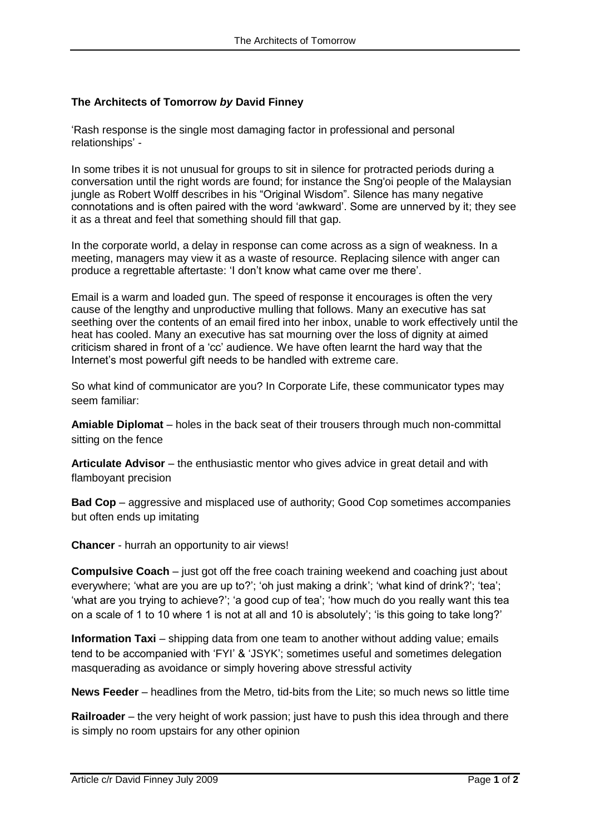## **The Architects of Tomorrow** *by* **David Finney**

"Rash response is the single most damaging factor in professional and personal relationships" -

In some tribes it is not unusual for groups to sit in silence for protracted periods during a conversation until the right words are found; for instance the Sng'oi people of the Malaysian jungle as Robert Wolff describes in his "Original Wisdom". Silence has many negative connotations and is often paired with the word "awkward". Some are unnerved by it; they see it as a threat and feel that something should fill that gap.

In the corporate world, a delay in response can come across as a sign of weakness. In a meeting, managers may view it as a waste of resource. Replacing silence with anger can produce a regrettable aftertaste: 'I don't know what came over me there'.

Email is a warm and loaded gun. The speed of response it encourages is often the very cause of the lengthy and unproductive mulling that follows. Many an executive has sat seething over the contents of an email fired into her inbox, unable to work effectively until the heat has cooled. Many an executive has sat mourning over the loss of dignity at aimed criticism shared in front of a "cc" audience. We have often learnt the hard way that the Internet"s most powerful gift needs to be handled with extreme care.

So what kind of communicator are you? In Corporate Life, these communicator types may seem familiar:

**Amiable Diplomat** – holes in the back seat of their trousers through much non-committal sitting on the fence

**Articulate Advisor** – the enthusiastic mentor who gives advice in great detail and with flamboyant precision

**Bad Cop** – aggressive and misplaced use of authority; Good Cop sometimes accompanies but often ends up imitating

**Chancer** - hurrah an opportunity to air views!

**Compulsive Coach** – just got off the free coach training weekend and coaching just about everywhere; 'what are you are up to?'; 'oh just making a drink'; 'what kind of drink?'; 'tea'; "what are you trying to achieve?"; 'a good cup of tea'; 'how much do you really want this tea on a scale of 1 to 10 where 1 is not at all and 10 is absolutely"; "is this going to take long?"

**Information Taxi** – shipping data from one team to another without adding value; emails tend to be accompanied with "FYI" & "JSYK"; sometimes useful and sometimes delegation masquerading as avoidance or simply hovering above stressful activity

**News Feeder** – headlines from the Metro, tid-bits from the Lite; so much news so little time

**Railroader** – the very height of work passion; just have to push this idea through and there is simply no room upstairs for any other opinion